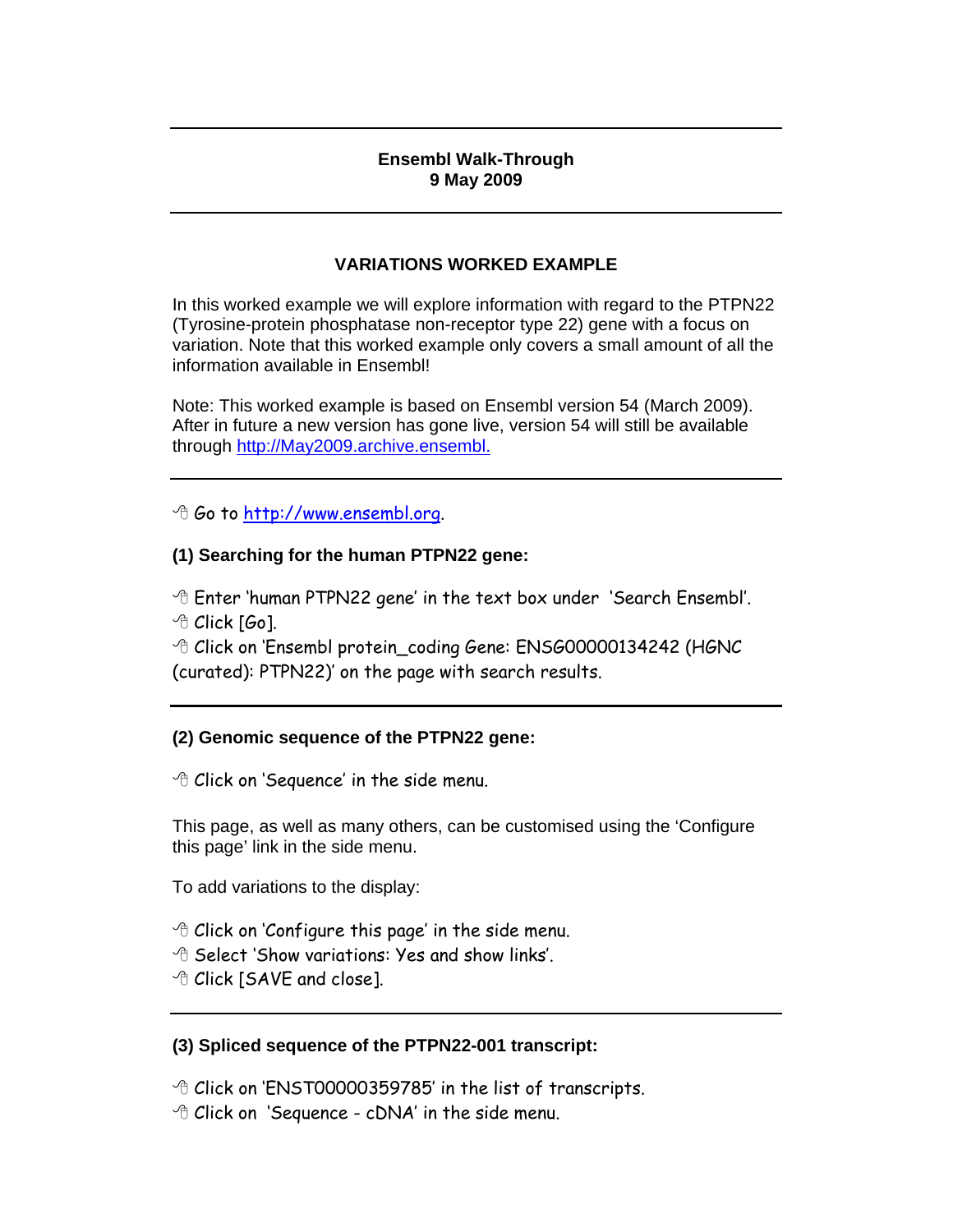#### **Ensembl Walk-Through 9 May 2009**

## **VARIATIONS WORKED EXAMPLE**

In this worked example we will explore information with regard to the PTPN22 (Tyrosine-protein phosphatase non-receptor type 22) gene with a focus on variation. Note that this worked example only covers a small amount of all the information available in Ensembl!

Note: This worked example is based on Ensembl version 54 (March 2009). After in future a new version has gone live, version 54 will still be available through http://May2009.archive.ensembl.

Go to http://www.ensembl.org.

## **(1) Searching for the human PTPN22 gene:**

 Enter 'human PTPN22 gene' in the text box under 'Search Ensembl'.  $\Theta$  Click [Go].

 Click on 'Ensembl protein\_coding Gene: ENSG00000134242 (HGNC (curated): PTPN22)' on the page with search results.

# **(2) Genomic sequence of the PTPN22 gene:**

Click on 'Sequence' in the side menu.

This page, as well as many others, can be customised using the 'Configure this page' link in the side menu.

To add variations to the display:

- $\Theta$  Click on 'Configure this page' in the side menu.
- $\Theta$  Select 'Show variations: Yes and show links'.
- Click [SAVE and close].

### **(3) Spliced sequence of the PTPN22-001 transcript:**

Click on 'ENST00000359785' in the list of transcripts.

 $\Theta$  Click on 'Sequence - cDNA' in the side menu.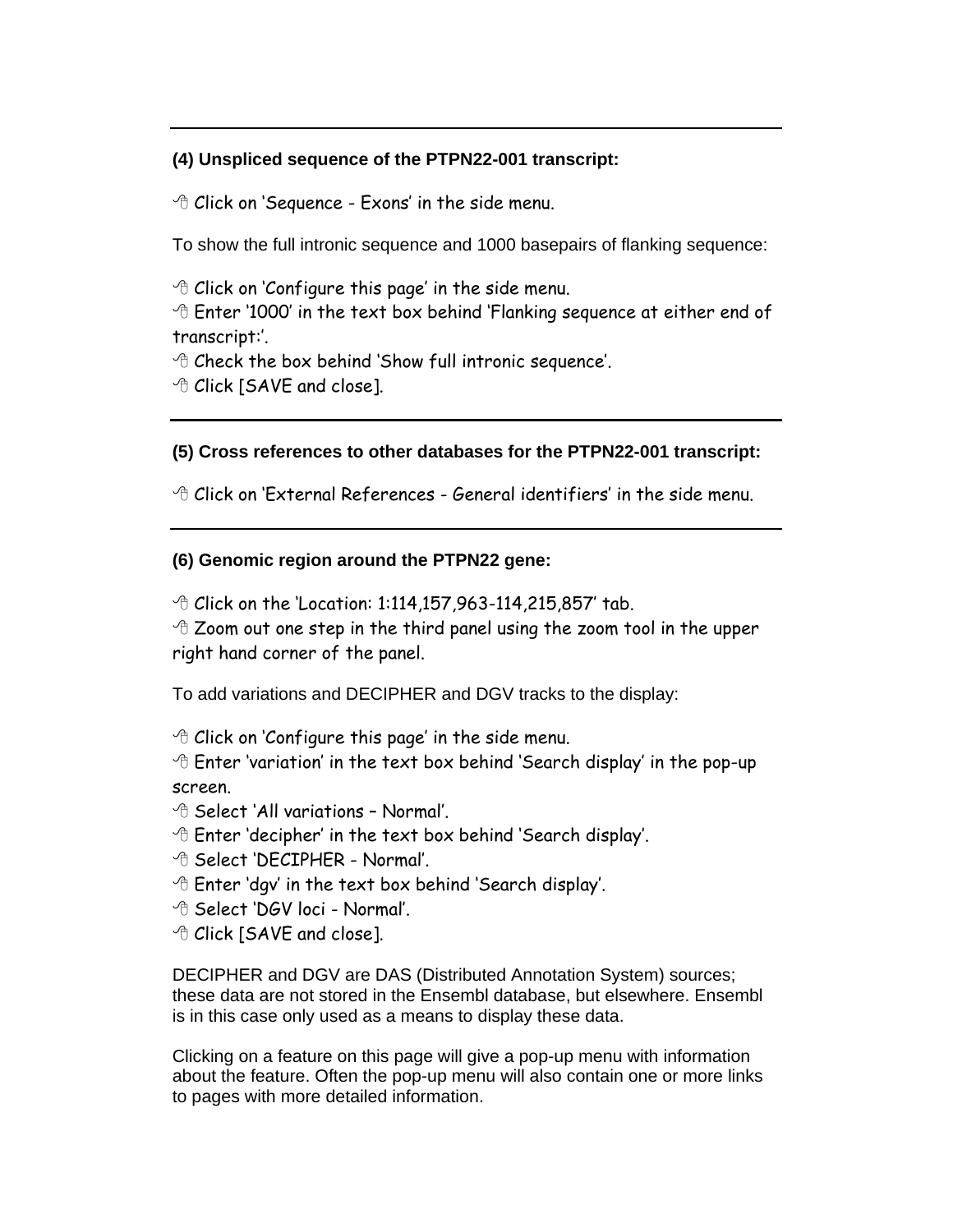#### **(4) Unspliced sequence of the PTPN22-001 transcript:**

 $\Theta$  Click on 'Sequence - Exons' in the side menu.

To show the full intronic sequence and 1000 basepairs of flanking sequence:

 $\Theta$  Click on 'Configure this page' in the side menu.

 Enter '1000' in the text box behind 'Flanking sequence at either end of transcript:'.

 $\Theta$  Check the box behind 'Show full intronic sequence'.

*<sup>th</sup>* Click [SAVE and close].

#### **(5) Cross references to other databases for the PTPN22-001 transcript:**

 $\hat{\tau}$  Click on 'External References - General identifiers' in the side menu.

#### **(6) Genomic region around the PTPN22 gene:**

 $\sqrt{2}$  Click on the 'Location: 1:114,157,963-114,215,857' tab.

 $\triangle$  Zoom out one step in the third panel using the zoom tool in the upper right hand corner of the panel.

To add variations and DECIPHER and DGV tracks to the display:

 $\Theta$  Click on 'Configure this page' in the side menu.

 $\triangle$  Enter 'variation' in the text box behind 'Search display' in the pop-up screen.

- $\Theta$  Select 'All variations Normal'.
- $\Diamond$  Enter 'decipher' in the text box behind 'Search display'.
- <sup>-</sup> Belect 'DECIPHER Normal'.
- $\Diamond$  Enter 'dgv' in the text box behind 'Search display'.
- <sup>-</sup> Belect 'DGV loci Normal'.
- *<sup>th</sup>* Click [SAVE and close].

DECIPHER and DGV are DAS (Distributed Annotation System) sources; these data are not stored in the Ensembl database, but elsewhere. Ensembl is in this case only used as a means to display these data.

Clicking on a feature on this page will give a pop-up menu with information about the feature. Often the pop-up menu will also contain one or more links to pages with more detailed information.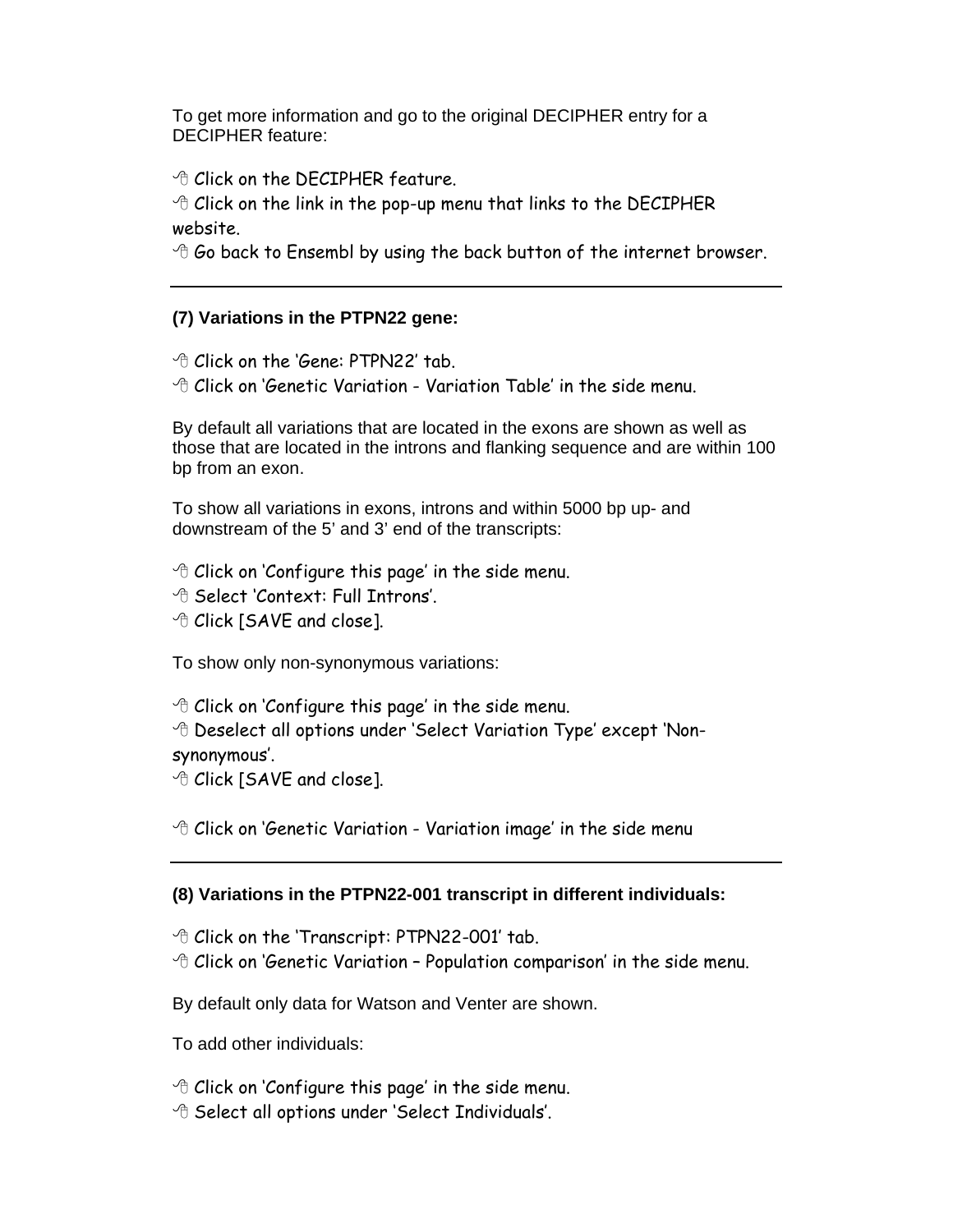To get more information and go to the original DECIPHER entry for a DECIPHER feature:

*<sup>th</sup>* Click on the DECIPHER feature.

 $\triangle$  Click on the link in the pop-up menu that links to the DECIPHER website.

 $\Theta$  Go back to Ensembl by using the back button of the internet browser.

## **(7) Variations in the PTPN22 gene:**

*<sup>th</sup>* Click on the 'Gene: PTPN22' tab.

 $\Theta$  Click on 'Genetic Variation - Variation Table' in the side menu.

By default all variations that are located in the exons are shown as well as those that are located in the introns and flanking sequence and are within 100 bp from an exon.

To show all variations in exons, introns and within 5000 bp up- and downstream of the 5' and 3' end of the transcripts:

- $\Theta$  Click on 'Configure this page' in the side menu.
- Select 'Context: Full Introns'.
- *<sup>th</sup>* Click [SAVE and close].

To show only non-synonymous variations:

 $\Theta$  Click on 'Configure this page' in the side menu.

 Deselect all options under 'Select Variation Type' except 'Nonsynonymous'.

*<sup>th</sup>* Click [SAVE and close].

 $\Diamond$  Click on 'Genetic Variation - Variation image' in the side menu

### **(8) Variations in the PTPN22-001 transcript in different individuals:**

 $\Diamond$  Click on the 'Transcript: PTPN22-001' tab.

 $\Diamond$  Click on 'Genetic Variation - Population comparison' in the side menu.

By default only data for Watson and Venter are shown.

- To add other individuals:
- $\Theta$  Click on 'Configure this page' in the side menu.
- $\Diamond$  Select all options under 'Select Individuals'.